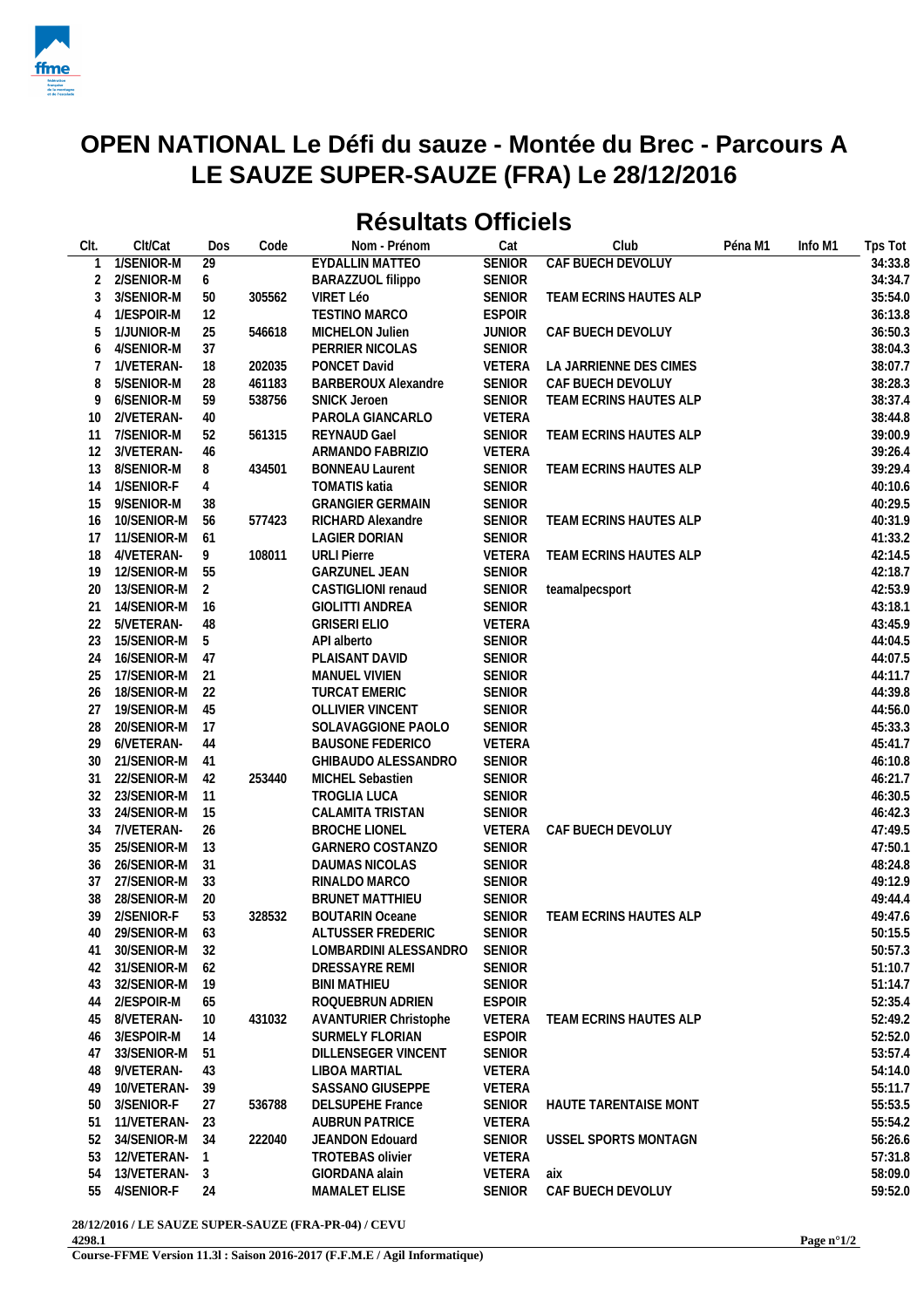

## **OPEN NATIONAL Le Défi du sauze - Montée du Brec - Parcours A LE SAUZE SUPER-SAUZE (FRA) Le 28/12/2016**

## **Résultats Officiels**

| CIt. | Clt/Cat           | Dos             | Code   | Nom - Prénom                 | Cat           | Club                         | Péna M1 | Info M1 | Tps Tot |
|------|-------------------|-----------------|--------|------------------------------|---------------|------------------------------|---------|---------|---------|
|      | 1/SENIOR-M        | $\overline{29}$ |        | EYDALLIN MATTEO              | <b>SENIOR</b> | CAF BUECH DEVOLUY            |         |         | 34:33.8 |
| 2    | 2/SENIOR-M        | 6               |        | BARAZZUOL filippo            | <b>SENIOR</b> |                              |         |         | 34:34.7 |
| 3    | 3/SENIOR-M        | 50              | 305562 | VIRET Léo                    | <b>SENIOR</b> | TEAM ECRINS HAUTES ALP       |         |         | 35:54.0 |
| 4    | 1/ESPOIR-M        | 12              |        | TESTINO MARCO                | <b>ESPOIR</b> |                              |         |         | 36:13.8 |
| 5    | 1/JUNIOR-M        | 25              | 546618 | MICHELON Julien              | <b>JUNIOR</b> | CAF BUECH DEVOLUY            |         |         | 36:50.3 |
| 6    | 4/SENIOR-M        | 37              |        | PERRIER NICOLAS              | <b>SENIOR</b> |                              |         |         | 38:04.3 |
| 7    | 1/VETERAN-        | 18              | 202035 | PONCET David                 | VETERA        | LA JARRIENNE DES CIMES       |         |         | 38:07.7 |
| 8    | 5/SENIOR-M        | 28              | 461183 | <b>BARBEROUX Alexandre</b>   | SENIOR        | CAF BUECH DEVOLUY            |         |         | 38:28.3 |
| 9    | 6/SENIOR-M        | 59              | 538756 | <b>SNICK Jeroen</b>          | <b>SENIOR</b> | TEAM ECRINS HAUTES ALP       |         |         | 38:37.4 |
| 10   | 2/VETERAN-        | 40              |        | PAROLA GIANCARLO             | VETERA        |                              |         |         | 38:44.8 |
| 11   | 7/SENIOR-M        | 52              | 561315 | <b>REYNAUD Gael</b>          | <b>SENIOR</b> | TEAM ECRINS HAUTES ALP       |         |         | 39:00.9 |
| 12   | 3/VETERAN-        | 46              |        | ARMANDO FABRIZIO             | VETERA        |                              |         |         | 39:26.4 |
| 13   | 8/SENIOR-M        | 8               | 434501 | <b>BONNEAU Laurent</b>       | <b>SENIOR</b> | TEAM ECRINS HAUTES ALP       |         |         | 39:29.4 |
| 14   | 1/SENIOR-F        | 4               |        | <b>TOMATIS katia</b>         | <b>SENIOR</b> |                              |         |         | 40:10.6 |
| 15   | 9/SENIOR-M        | 38              |        | <b>GRANGIER GERMAIN</b>      | <b>SENIOR</b> |                              |         |         | 40:29.5 |
| 16   | 10/SENIOR-M       | 56              | 577423 | RICHARD Alexandre            | <b>SENIOR</b> | TEAM ECRINS HAUTES ALP       |         |         | 40:31.9 |
| 17   | 11/SENIOR-M       | 61              |        | <b>LAGIER DORIAN</b>         | <b>SENIOR</b> |                              |         |         | 41:33.2 |
| 18   | 4/VETERAN-        | 9               | 108011 | <b>URLI Pierre</b>           | VETERA        | TEAM ECRINS HAUTES ALP       |         |         | 42:14.5 |
| 19   | 12/SENIOR-M       | 55              |        | <b>GARZUNEL JEAN</b>         | <b>SENIOR</b> |                              |         |         | 42:18.7 |
| 20   | 13/SENIOR-M       | 2               |        | CASTIGLIONI renaud           | <b>SENIOR</b> | teamalpecsport               |         |         | 42:53.9 |
| 21   | 14/SENIOR-M       | 16              |        | <b>GIOLITTI ANDREA</b>       | <b>SENIOR</b> |                              |         |         | 43:18.1 |
| 22   | 5/VETERAN-        | 48              |        | <b>GRISERI ELIO</b>          | VETERA        |                              |         |         | 43:45.9 |
| 23   | 15/SENIOR-M       | -5              |        | API alberto                  | <b>SENIOR</b> |                              |         |         | 44:04.5 |
| 24   | 16/SENIOR-M       | -47             |        | PLAISANT DAVID               | <b>SENIOR</b> |                              |         |         | 44:07.5 |
| 25   | 17/SENIOR-M       | -21             |        | MANUEL VIVIEN                | <b>SENIOR</b> |                              |         |         | 44:11.7 |
| 26   | 18/SENIOR-M       | 22              |        | <b>TURCAT EMERIC</b>         | <b>SENIOR</b> |                              |         |         | 44:39.8 |
| 27   | 19/SENIOR-M       | 45              |        | OLLIVIER VINCENT             | <b>SENIOR</b> |                              |         |         | 44:56.0 |
| 28   | 20/SENIOR-M       | 17              |        | SOLAVAGGIONE PAOLO           | <b>SENIOR</b> |                              |         |         | 45:33.3 |
| 29   | 6/VETERAN-        | 44              |        | <b>BAUSONE FEDERICO</b>      | VETERA        |                              |         |         | 45:41.7 |
| 30   | 21/SENIOR-M       | 41              |        | GHIBAUDO ALESSANDRO          | <b>SENIOR</b> |                              |         |         | 46:10.8 |
| 31   | 22/SENIOR-M       | 42              | 253440 | MICHEL Sebastien             | <b>SENIOR</b> |                              |         |         | 46:21.7 |
| 32   | 23/SENIOR-M       | -11             |        | TROGLIA LUCA                 | <b>SENIOR</b> |                              |         |         | 46:30.5 |
| 33   | 24/SENIOR-M       | 15              |        | CALAMITA TRISTAN             | <b>SENIOR</b> |                              |         |         | 46:42.3 |
| 34   | 7/VETERAN-        | 26              |        | <b>BROCHE LIONEL</b>         | VETERA        | CAF BUECH DEVOLUY            |         |         | 47:49.5 |
| 35   | 25/SENIOR-M       | 13              |        | <b>GARNERO COSTANZO</b>      | <b>SENIOR</b> |                              |         |         | 47:50.1 |
| 36   | 26/SENIOR-M       | 31              |        | DAUMAS NICOLAS               | <b>SENIOR</b> |                              |         |         | 48:24.8 |
| 37   | 27/SENIOR-M       | 33              |        | RINALDO MARCO                | <b>SENIOR</b> |                              |         |         | 49:12.9 |
| 38   | 28/SENIOR-M       | 20              |        | <b>BRUNET MATTHIEU</b>       | <b>SENIOR</b> |                              |         |         | 49:44.4 |
| 39   | 2/SENIOR-F        | 53              | 328532 | <b>BOUTARIN Oceane</b>       | <b>SENIOR</b> | TEAM ECRINS HAUTES ALP       |         |         | 49:47.6 |
|      | 40 29/SENIOR-M 63 |                 |        | ALTUSSER FREDERIC            | <b>SENIOR</b> |                              |         |         | 50:15.5 |
| 41   | 30/SENIOR-M       | 32              |        | LOMBARDINI ALESSANDRO        | <b>SENIOR</b> |                              |         |         | 50:57.3 |
| 42   | 31/SENIOR-M       | 62              |        | DRESSAYRE REMI               | <b>SENIOR</b> |                              |         |         | 51:10.7 |
| 43   | 32/SENIOR-M       | -19             |        | <b>BINI MATHIEU</b>          | <b>SENIOR</b> |                              |         |         | 51:14.7 |
| 44   | 2/ESPOIR-M        | 65              |        | ROQUEBRUN ADRIEN             | <b>ESPOIR</b> |                              |         |         | 52:35.4 |
| 45   | 8/VETERAN-        | 10              | 431032 | <b>AVANTURIER Christophe</b> | VETERA        | TEAM ECRINS HAUTES ALP       |         |         | 52:49.2 |
| 46   | 3/ESPOIR-M        | 14              |        | SURMELY FLORIAN              | <b>ESPOIR</b> |                              |         |         | 52:52.0 |
| 47   | 33/SENIOR-M       | 51              |        | DILLENSEGER VINCENT          | <b>SENIOR</b> |                              |         |         | 53:57.4 |
| 48   | 9/VETERAN-        | 43              |        | LIBOA MARTIAL                | VETERA        |                              |         |         | 54:14.0 |
| 49   | 10/VETERAN-       | 39              |        | <b>SASSANO GIUSEPPE</b>      | VETERA        |                              |         |         | 55:11.7 |
| 50   | 3/SENIOR-F        | 27              | 536788 | <b>DELSUPEHE France</b>      | <b>SENIOR</b> | <b>HAUTE TARENTAISE MONT</b> |         |         | 55:53.5 |
| 51   | 11/VETERAN-       | 23              |        | <b>AUBRUN PATRICE</b>        | VETERA        |                              |         |         | 55:54.2 |
| 52   | 34/SENIOR-M       | 34              | 222040 | JEANDON Edouard              | SENIOR        | USSEL SPORTS MONTAGN         |         |         | 56:26.6 |
| 53   | 12/VETERAN-       |                 |        | <b>TROTEBAS olivier</b>      | VETERA        |                              |         |         | 57:31.8 |
| 54   | 13/VETERAN-       | 3               |        | GIORDANA alain               | VETERA        | aix                          |         |         | 58:09.0 |
| 55   | 4/SENIOR-F        | 24              |        | MAMALET ELISE                | SENIOR        | CAF BUECH DEVOLUY            |         |         | 59:52.0 |
|      |                   |                 |        |                              |               |                              |         |         |         |